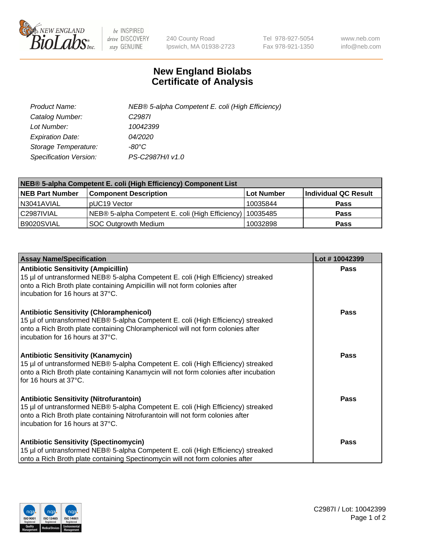

 $be$  INSPIRED drive DISCOVERY stay GENUINE

240 County Road Ipswich, MA 01938-2723 Tel 978-927-5054 Fax 978-921-1350 www.neb.com info@neb.com

## **New England Biolabs Certificate of Analysis**

| Product Name:           | NEB® 5-alpha Competent E. coli (High Efficiency) |
|-------------------------|--------------------------------------------------|
| Catalog Number:         | C <sub>2987</sub>                                |
| Lot Number:             | 10042399                                         |
| <b>Expiration Date:</b> | 04/2020                                          |
| Storage Temperature:    | -80°C.                                           |
| Specification Version:  | PS-C2987H/I v1.0                                 |

| NEB® 5-alpha Competent E. coli (High Efficiency) Component List |                                                  |            |                      |  |
|-----------------------------------------------------------------|--------------------------------------------------|------------|----------------------|--|
| <b>NEB Part Number</b>                                          | <b>Component Description</b>                     | Lot Number | Individual QC Result |  |
| N3041AVIAL                                                      | pUC19 Vector                                     | 10035844   | <b>Pass</b>          |  |
| C2987IVIAL                                                      | NEB® 5-alpha Competent E. coli (High Efficiency) | 10035485   | <b>Pass</b>          |  |
| B9020SVIAL                                                      | <b>SOC Outgrowth Medium</b>                      | 10032898   | <b>Pass</b>          |  |

| <b>Assay Name/Specification</b>                                                                                                                                                                                                                            | Lot #10042399 |
|------------------------------------------------------------------------------------------------------------------------------------------------------------------------------------------------------------------------------------------------------------|---------------|
| <b>Antibiotic Sensitivity (Ampicillin)</b><br>15 µl of untransformed NEB® 5-alpha Competent E. coli (High Efficiency) streaked<br>onto a Rich Broth plate containing Ampicillin will not form colonies after<br>incubation for 16 hours at 37°C.           | Pass          |
| <b>Antibiotic Sensitivity (Chloramphenicol)</b><br>15 µl of untransformed NEB® 5-alpha Competent E. coli (High Efficiency) streaked<br>onto a Rich Broth plate containing Chloramphenicol will not form colonies after<br>incubation for 16 hours at 37°C. | Pass          |
| <b>Antibiotic Sensitivity (Kanamycin)</b><br>15 µl of untransformed NEB® 5-alpha Competent E. coli (High Efficiency) streaked<br>onto a Rich Broth plate containing Kanamycin will not form colonies after incubation<br>for 16 hours at 37°C.             | Pass          |
| <b>Antibiotic Sensitivity (Nitrofurantoin)</b><br>15 µl of untransformed NEB® 5-alpha Competent E. coli (High Efficiency) streaked<br>onto a Rich Broth plate containing Nitrofurantoin will not form colonies after<br>incubation for 16 hours at 37°C.   | <b>Pass</b>   |
| <b>Antibiotic Sensitivity (Spectinomycin)</b><br>15 µl of untransformed NEB® 5-alpha Competent E. coli (High Efficiency) streaked<br>onto a Rich Broth plate containing Spectinomycin will not form colonies after                                         | Pass          |